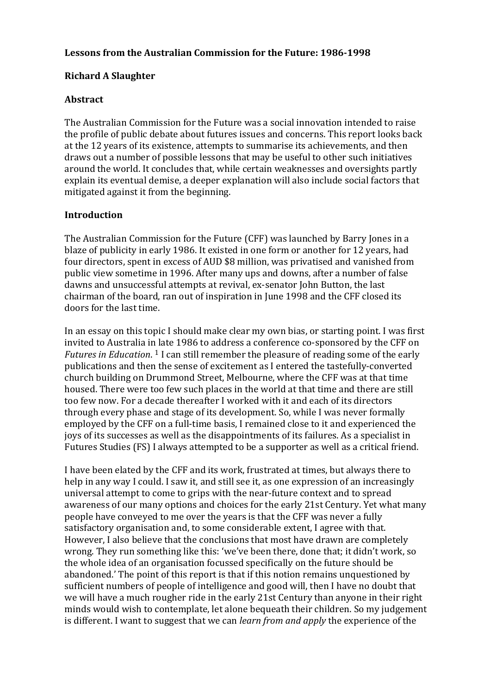### **Lessons from the Australian Commission for the Future: 1986-1998**

#### **Richard A Slaughter**

#### **Abstract**

The Australian Commission for the Future was a social innovation intended to raise the profile of public debate about futures issues and concerns. This report looks back at the 12 years of its existence, attempts to summarise its achievements, and then draws out a number of possible lessons that may be useful to other such initiatives around the world. It concludes that, while certain weaknesses and oversights partly explain its eventual demise, a deeper explanation will also include social factors that mitigated against it from the beginning.

#### **Introduction**

The Australian Commission for the Future (CFF) was launched by Barry Jones in a blaze of publicity in early 1986. It existed in one form or another for 12 years, had four directors, spent in excess of AUD \$8 million, was privatised and vanished from public view sometime in 1996. After many ups and downs, after a number of false dawns and unsuccessful attempts at revival, ex-senator John Button, the last chairman of the board, ran out of inspiration in June 1998 and the CFF closed its doors for the last time.

In an essay on this topic I should make clear my own bias, or starting point. I was first invited to Australia in late 1986 to address a conference co-sponsored by the CFF on *Futures in Education*. <sup>1</sup> I can still remember the pleasure of reading some of the early publications and then the sense of excitement as I entered the tastefully-converted church building on Drummond Street, Melbourne, where the CFF was at that time housed. There were too few such places in the world at that time and there are still too few now. For a decade thereafter I worked with it and each of its directors through every phase and stage of its development. So, while I was never formally employed by the CFF on a full-time basis, I remained close to it and experienced the joys of its successes as well as the disappointments of its failures. As a specialist in Futures Studies (FS) I always attempted to be a supporter as well as a critical friend.

I have been elated by the CFF and its work, frustrated at times, but always there to help in any way I could. I saw it, and still see it, as one expression of an increasingly universal attempt to come to grips with the near-future context and to spread awareness of our many options and choices for the early 21st Century. Yet what many people have conveyed to me over the years is that the CFF was never a fully satisfactory organisation and, to some considerable extent, I agree with that. However, I also believe that the conclusions that most have drawn are completely wrong. They run something like this: 'we've been there, done that; it didn't work, so the whole idea of an organisation focussed specifically on the future should be abandoned.' The point of this report is that if this notion remains unquestioned by sufficient numbers of people of intelligence and good will, then I have no doubt that we will have a much rougher ride in the early 21st Century than anyone in their right minds would wish to contemplate, let alone bequeath their children. So my judgement is different. I want to suggest that we can *learn from and apply* the experience of the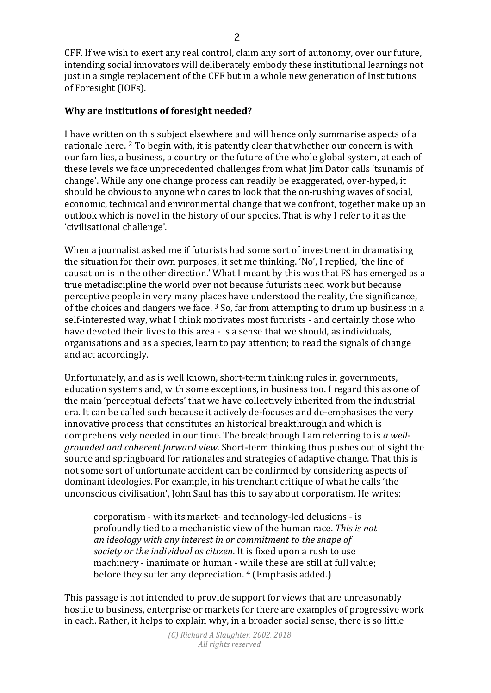CFF. If we wish to exert any real control, claim any sort of autonomy, over our future, intending social innovators will deliberately embody these institutional learnings not just in a single replacement of the CFF but in a whole new generation of Institutions of Foresight (IOFs).

### **Why are institutions of foresight needed?**

I have written on this subject elsewhere and will hence only summarise aspects of a rationale here.  $2$  To begin with, it is patently clear that whether our concern is with our families, a business, a country or the future of the whole global system, at each of these levels we face unprecedented challenges from what  $\lim$  Dator calls 'tsunamis of change'. While any one change process can readily be exaggerated, over-hyped, it should be obvious to anyone who cares to look that the on-rushing waves of social, economic, technical and environmental change that we confront, together make up an outlook which is novel in the history of our species. That is why I refer to it as the 'civilisational challenge'.

When a journalist asked me if futurists had some sort of investment in dramatising the situation for their own purposes, it set me thinking. 'No', I replied, 'the line of causation is in the other direction.' What I meant by this was that FS has emerged as a true metadiscipline the world over not because futurists need work but because perceptive people in very many places have understood the reality, the significance, of the choices and dangers we face.  $3$  So, far from attempting to drum up business in a self-interested way, what I think motivates most futurists - and certainly those who have devoted their lives to this area - is a sense that we should, as individuals, organisations and as a species, learn to pay attention; to read the signals of change and act accordingly.

Unfortunately, and as is well known, short-term thinking rules in governments, education systems and, with some exceptions, in business too. I regard this as one of the main 'perceptual defects' that we have collectively inherited from the industrial era. It can be called such because it actively de-focuses and de-emphasises the very innovative process that constitutes an historical breakthrough and which is comprehensively needed in our time. The breakthrough I am referring to is a well*grounded and coherent forward view.* Short-term thinking thus pushes out of sight the source and springboard for rationales and strategies of adaptive change. That this is not some sort of unfortunate accident can be confirmed by considering aspects of dominant ideologies. For example, in his trenchant critique of what he calls 'the unconscious civilisation', John Saul has this to say about corporatism. He writes:

corporatism - with its market- and technology-led delusions - is profoundly tied to a mechanistic view of the human race. This is not an *ideology* with any interest in or commitment to the shape of *society* or the *individual as citizen*. It is fixed upon a rush to use machinery - inanimate or human - while these are still at full value; before they suffer any depreciation.  $4$  (Emphasis added.)

This passage is not intended to provide support for views that are unreasonably hostile to business, enterprise or markets for there are examples of progressive work in each. Rather, it helps to explain why, in a broader social sense, there is so little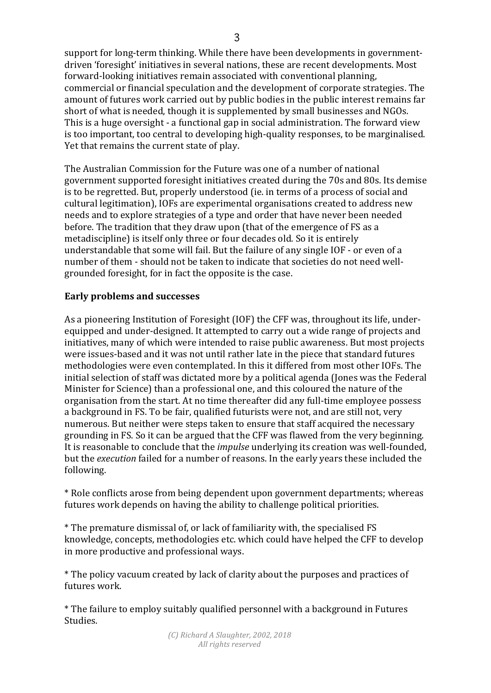support for long-term thinking. While there have been developments in governmentdriven 'foresight' initiatives in several nations, these are recent developments. Most forward-looking initiatives remain associated with conventional planning, commercial or financial speculation and the development of corporate strategies. The amount of futures work carried out by public bodies in the public interest remains far short of what is needed, though it is supplemented by small businesses and NGOs. This is a huge oversight - a functional gap in social administration. The forward view is too important, too central to developing high-quality responses, to be marginalised. Yet that remains the current state of play.

The Australian Commission for the Future was one of a number of national government supported foresight initiatives created during the 70s and 80s. Its demise is to be regretted. But, properly understood (ie. in terms of a process of social and cultural legitimation), IOFs are experimental organisations created to address new needs and to explore strategies of a type and order that have never been needed before. The tradition that they draw upon (that of the emergence of FS as a metadiscipline) is itself only three or four decades old. So it is entirely understandable that some will fail. But the failure of any single IOF - or even of a number of them - should not be taken to indicate that societies do not need wellgrounded foresight, for in fact the opposite is the case.

# Early problems and successes

As a pioneering Institution of Foresight (IOF) the CFF was, throughout its life, underequipped and under-designed. It attempted to carry out a wide range of projects and initiatives, many of which were intended to raise public awareness. But most projects were issues-based and it was not until rather late in the piece that standard futures methodologies were even contemplated. In this it differed from most other IOFs. The initial selection of staff was dictated more by a political agenda (Jones was the Federal Minister for Science) than a professional one, and this coloured the nature of the organisation from the start. At no time thereafter did any full-time employee possess a background in FS. To be fair, qualified futurists were not, and are still not, very numerous. But neither were steps taken to ensure that staff acquired the necessary grounding in FS. So it can be argued that the CFF was flawed from the very beginning. It is reasonable to conclude that the *impulse* underlying its creation was well-founded, but the *execution* failed for a number of reasons. In the early vears these included the following.

\* Role conflicts arose from being dependent upon government departments; whereas futures work depends on having the ability to challenge political priorities.

\* The premature dismissal of, or lack of familiarity with, the specialised FS knowledge, concepts, methodologies etc. which could have helped the CFF to develop in more productive and professional ways.

\* The policy vacuum created by lack of clarity about the purposes and practices of futures work.

\* The failure to employ suitably qualified personnel with a background in Futures Studies.

> *(C) Richard A Slaughter, 2002, 2018 All rights reserved*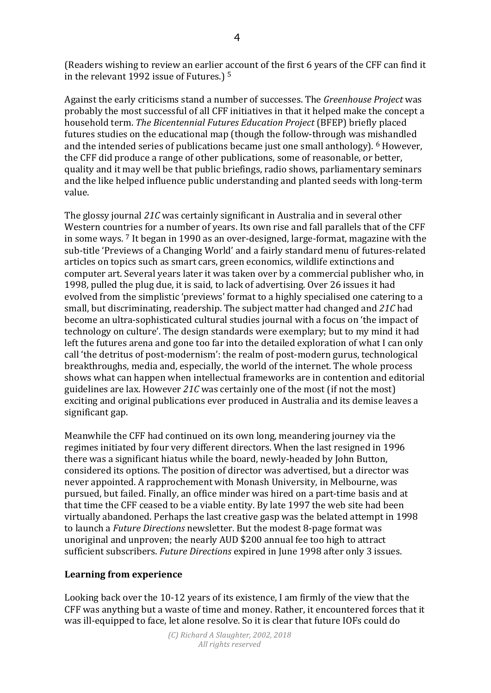(Readers wishing to review an earlier account of the first 6 years of the CFF can find it in the relevant 1992 issue of Futures.)  $5$ 

Against the early criticisms stand a number of successes. The *Greenhouse Project* was probably the most successful of all CFF initiatives in that it helped make the concept a household term. The Bicentennial Futures Education Project (BFEP) briefly placed futures studies on the educational map (though the follow-through was mishandled and the intended series of publications became just one small anthology).  $6$  However, the CFF did produce a range of other publications, some of reasonable, or better, quality and it may well be that public briefings, radio shows, parliamentary seminars and the like helped influence public understanding and planted seeds with long-term value.

The glossy journal 21C was certainly significant in Australia and in several other Western countries for a number of years. Its own rise and fall parallels that of the CFF in some ways.  $\frac{7}{1}$  It began in 1990 as an over-designed, large-format, magazine with the sub-title 'Previews of a Changing World' and a fairly standard menu of futures-related articles on topics such as smart cars, green economics, wildlife extinctions and computer art. Several years later it was taken over by a commercial publisher who, in 1998, pulled the plug due, it is said, to lack of advertising. Over 26 issues it had evolved from the simplistic 'previews' format to a highly specialised one catering to a small, but discriminating, readership. The subject matter had changed and 21C had become an ultra-sophisticated cultural studies journal with a focus on 'the impact of technology on culture'. The design standards were exemplary; but to my mind it had left the futures arena and gone too far into the detailed exploration of what I can only call 'the detritus of post-modernism': the realm of post-modern gurus, technological breakthroughs, media and, especially, the world of the internet. The whole process shows what can happen when intellectual frameworks are in contention and editorial guidelines are lax. However 21C was certainly one of the most (if not the most) exciting and original publications ever produced in Australia and its demise leaves a significant gap.

Meanwhile the CFF had continued on its own long, meandering journey via the regimes initiated by four very different directors. When the last resigned in 1996 there was a significant hiatus while the board, newly-headed by John Button, considered its options. The position of director was advertised, but a director was never appointed. A rapprochement with Monash University, in Melbourne, was pursued, but failed. Finally, an office minder was hired on a part-time basis and at that time the CFF ceased to be a viable entity. By late 1997 the web site had been virtually abandoned. Perhaps the last creative gasp was the belated attempt in 1998 to launch a *Future Directions* newsletter. But the modest 8-page format was unoriginal and unproven; the nearly AUD \$200 annual fee too high to attract sufficient subscribers. *Future Directions* expired in June 1998 after only 3 issues.

### Learning from experience

Looking back over the 10-12 years of its existence, I am firmly of the view that the CFF was anything but a waste of time and money. Rather, it encountered forces that it was ill-equipped to face, let alone resolve. So it is clear that future IOFs could do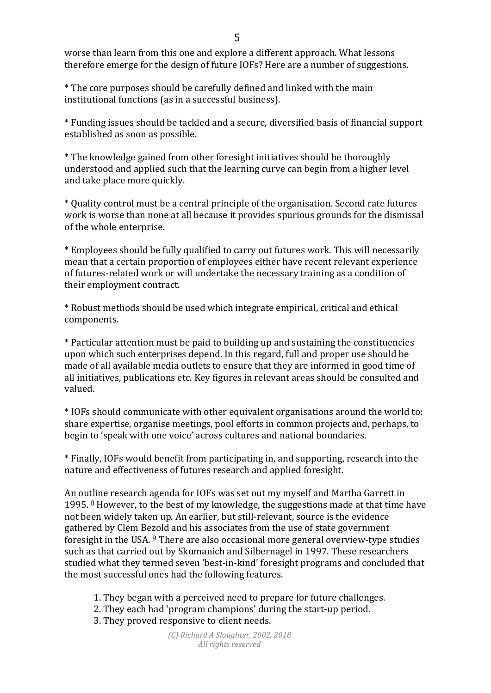worse than learn from this one and explore a different approach. What lessons therefore emerge for the design of future IOFs? Here are a number of suggestions.

\* The core purposes should be carefully defined and linked with the main institutional functions (as in a successful business).

\* Funding issues should be tackled and a secure, diversified basis of financial support established as soon as possible.

\* The knowledge gained from other foresight initiatives should be thoroughly understood and applied such that the learning curve can begin from a higher level and take place more quickly.

\* Quality control must be a central principle of the organisation. Second rate futures work is worse than none at all because it provides spurious grounds for the dismissal of the whole enterprise.

\* Employees should be fully qualified to carry out futures work. This will necessarily mean that a certain proportion of employees either have recent relevant experience of futures-related work or will undertake the necessary training as a condition of their employment contract.

\* Robust methods should be used which integrate empirical, critical and ethical components.

\* Particular attention must be paid to building up and sustaining the constituencies upon which such enterprises depend. In this regard, full and proper use should be made of all available media outlets to ensure that they are informed in good time of all initiatives, publications etc. Key figures in relevant areas should be consulted and valued.

\* IOFs should communicate with other equivalent organisations around the world to: share expertise, organise meetings, pool efforts in common projects and, perhaps, to begin to 'speak with one voice' across cultures and national boundaries.

\* Finally, IOFs would benefit from participating in, and supporting, research into the nature and effectiveness of futures research and applied foresight.

An outline research agenda for IOFs was set out my myself and Martha Garrett in 1995.  $8$  However, to the best of my knowledge, the suggestions made at that time have not been widely taken up. An earlier, but still-relevant, source is the evidence gathered by Clem Bezold and his associates from the use of state government fore sight in the USA.  $9$  There are also occasional more general overview-type studies such as that carried out by Skumanich and Silbernagel in 1997. These researchers studied what they termed seven 'best-in-kind' foresight programs and concluded that the most successful ones had the following features.

1. They began with a perceived need to prepare for future challenges.

- 2. They each had 'program champions' during the start-up period.
- 3. They proved responsive to client needs.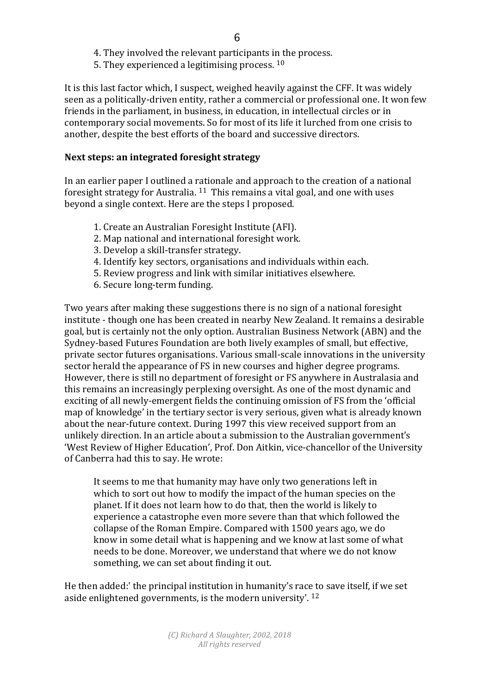- 4. They involved the relevant participants in the process.
- 5. They experienced a legitimising process.  $10$

It is this last factor which, I suspect, weighed heavily against the CFF. It was widely seen as a politically-driven entity, rather a commercial or professional one. It won few friends in the parliament, in business, in education, in intellectual circles or in contemporary social movements. So for most of its life it lurched from one crisis to another, despite the best efforts of the board and successive directors.

## Next steps: an integrated foresight strategy

In an earlier paper I outlined a rationale and approach to the creation of a national foresight strategy for Australia.  $11$  This remains a vital goal, and one with uses beyond a single context. Here are the steps I proposed.

- 1. Create an Australian Foresight Institute (AFI).
- 2. Map national and international foresight work.
- 3. Develop a skill-transfer strategy.
- 4. Identify key sectors, organisations and individuals within each.
- 5. Review progress and link with similar initiatives elsewhere.
- 6. Secure long-term funding.

Two years after making these suggestions there is no sign of a national foresight institute - though one has been created in nearby New Zealand. It remains a desirable goal, but is certainly not the only option. Australian Business Network (ABN) and the Sydney-based Futures Foundation are both lively examples of small, but effective, private sector futures organisations. Various small-scale innovations in the university sector herald the appearance of FS in new courses and higher degree programs. However, there is still no department of foresight or FS anywhere in Australasia and this remains an increasingly perplexing oversight. As one of the most dynamic and exciting of all newly-emergent fields the continuing omission of FS from the 'official map of knowledge' in the tertiary sector is very serious, given what is already known about the near-future context. During 1997 this view received support from an unlikely direction. In an article about a submission to the Australian government's 'West Review of Higher Education', Prof. Don Aitkin, vice-chancellor of the University of Canberra had this to say. He wrote:

It seems to me that humanity may have only two generations left in which to sort out how to modify the impact of the human species on the planet. If it does not learn how to do that, then the world is likely to experience a catastrophe even more severe than that which followed the collapse of the Roman Empire. Compared with 1500 years ago, we do know in some detail what is happening and we know at last some of what needs to be done. Moreover, we understand that where we do not know something, we can set about finding it out.

He then added:' the principal institution in humanity's race to save itself, if we set aside enlightened governments, is the modern university'. <sup>12</sup>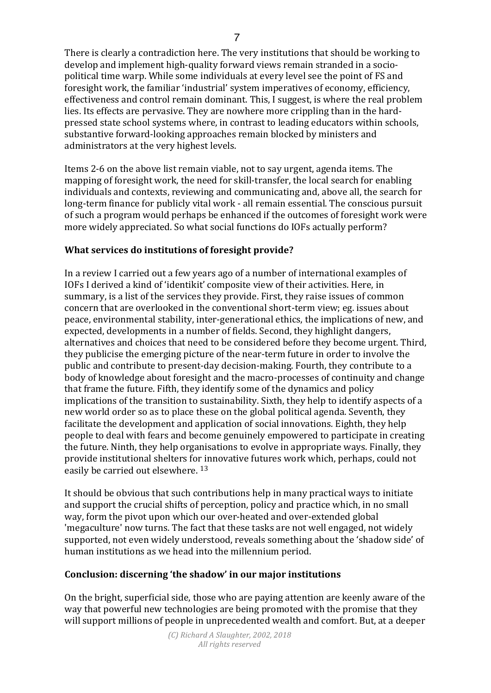There is clearly a contradiction here. The very institutions that should be working to develop and implement high-quality forward views remain stranded in a sociopolitical time warp. While some individuals at every level see the point of FS and foresight work, the familiar 'industrial' system imperatives of economy, efficiency, effectiveness and control remain dominant. This, I suggest, is where the real problem lies. Its effects are pervasive. They are nowhere more crippling than in the hardpressed state school systems where, in contrast to leading educators within schools, substantive forward-looking approaches remain blocked by ministers and administrators at the very highest levels.

Items 2-6 on the above list remain viable, not to say urgent, agenda items. The mapping of foresight work, the need for skill-transfer, the local search for enabling individuals and contexts, reviewing and communicating and, above all, the search for long-term finance for publicly vital work - all remain essential. The conscious pursuit of such a program would perhaps be enhanced if the outcomes of foresight work were more widely appreciated. So what social functions do IOFs actually perform?

# **What services do institutions of foresight provide?**

In a review I carried out a few years ago of a number of international examples of IOFs I derived a kind of 'identikit' composite view of their activities. Here, in summary, is a list of the services they provide. First, they raise issues of common concern that are overlooked in the conventional short-term view; eg. issues about peace, environmental stability, inter-generational ethics, the implications of new, and expected, developments in a number of fields. Second, they highlight dangers, alternatives and choices that need to be considered before they become urgent. Third, they publicise the emerging picture of the near-term future in order to involve the public and contribute to present-day decision-making. Fourth, they contribute to a body of knowledge about foresight and the macro-processes of continuity and change that frame the future. Fifth, they identify some of the dynamics and policy implications of the transition to sustainability. Sixth, they help to identify aspects of a new world order so as to place these on the global political agenda. Seventh, they facilitate the development and application of social innovations. Eighth, they help people to deal with fears and become genuinely empowered to participate in creating the future. Ninth, they help organisations to evolve in appropriate ways. Finally, they provide institutional shelters for innovative futures work which, perhaps, could not easily be carried out elsewhere.<sup>13</sup>

It should be obvious that such contributions help in many practical ways to initiate and support the crucial shifts of perception, policy and practice which, in no small way, form the pivot upon which our over-heated and over-extended global 'megaculture' now turns. The fact that these tasks are not well engaged, not widely supported, not even widely understood, reveals something about the 'shadow side' of human institutions as we head into the millennium period.

# Conclusion: discerning 'the shadow' in our major institutions

On the bright, superficial side, those who are paying attention are keenly aware of the way that powerful new technologies are being promoted with the promise that they will support millions of people in unprecedented wealth and comfort. But, at a deeper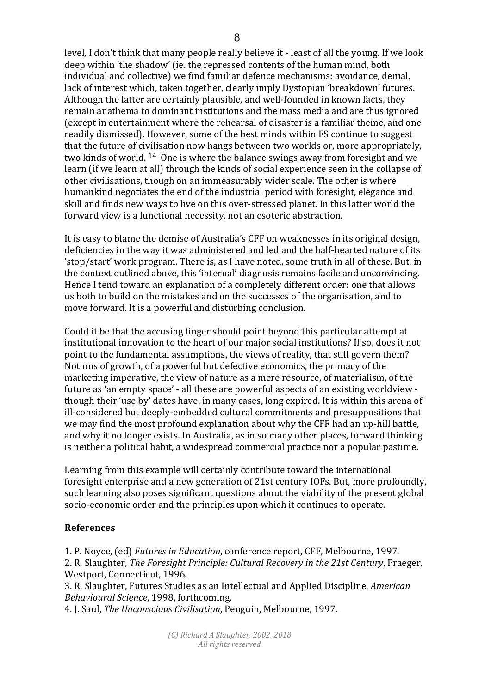level, I don't think that many people really believe it - least of all the young. If we look deep within 'the shadow' (ie. the repressed contents of the human mind, both individual and collective) we find familiar defence mechanisms: avoidance, denial, lack of interest which, taken together, clearly imply Dystopian 'breakdown' futures. Although the latter are certainly plausible, and well-founded in known facts, they remain anathema to dominant institutions and the mass media and are thus ignored (except in entertainment where the rehearsal of disaster is a familiar theme, and one readily dismissed). However, some of the best minds within FS continue to suggest that the future of civilisation now hangs between two worlds or, more appropriately, two kinds of world.  $14$  One is where the balance swings away from foresight and we learn (if we learn at all) through the kinds of social experience seen in the collapse of other civilisations, though on an immeasurably wider scale. The other is where humankind negotiates the end of the industrial period with foresight, elegance and skill and finds new ways to live on this over-stressed planet. In this latter world the forward view is a functional necessity, not an esoteric abstraction.

It is easy to blame the demise of Australia's CFF on weaknesses in its original design, deficiencies in the way it was administered and led and the half-hearted nature of its 'stop/start' work program. There is, as I have noted, some truth in all of these. But, in the context outlined above, this 'internal' diagnosis remains facile and unconvincing. Hence I tend toward an explanation of a completely different order: one that allows us both to build on the mistakes and on the successes of the organisation, and to move forward. It is a powerful and disturbing conclusion.

Could it be that the accusing finger should point beyond this particular attempt at institutional innovation to the heart of our major social institutions? If so, does it not point to the fundamental assumptions, the views of reality, that still govern them? Notions of growth, of a powerful but defective economics, the primacy of the marketing imperative, the view of nature as a mere resource, of materialism, of the future as 'an empty space' - all these are powerful aspects of an existing worldview though their 'use by' dates have, in many cases, long expired. It is within this arena of ill-considered but deeply-embedded cultural commitments and presuppositions that we may find the most profound explanation about why the CFF had an up-hill battle, and why it no longer exists. In Australia, as in so many other places, forward thinking is neither a political habit, a widespread commercial practice nor a popular pastime.

Learning from this example will certainly contribute toward the international foresight enterprise and a new generation of 21st century IOFs. But, more profoundly, such learning also poses significant questions about the viability of the present global socio-economic order and the principles upon which it continues to operate.

# **References**

1. P. Noyce, (ed) *Futures in Education*, conference report, CFF, Melbourne, 1997. 2. R. Slaughter, *The Foresight Principle: Cultural Recovery in the 21st Century*, Praeger, Westport, Connecticut, 1996.

3. R. Slaughter, Futures Studies as an Intellectual and Applied Discipline, American *Behavioural Science*, 1998, forthcoming.

4. J. Saul, *The Unconscious Civilisation*, Penguin, Melbourne, 1997.